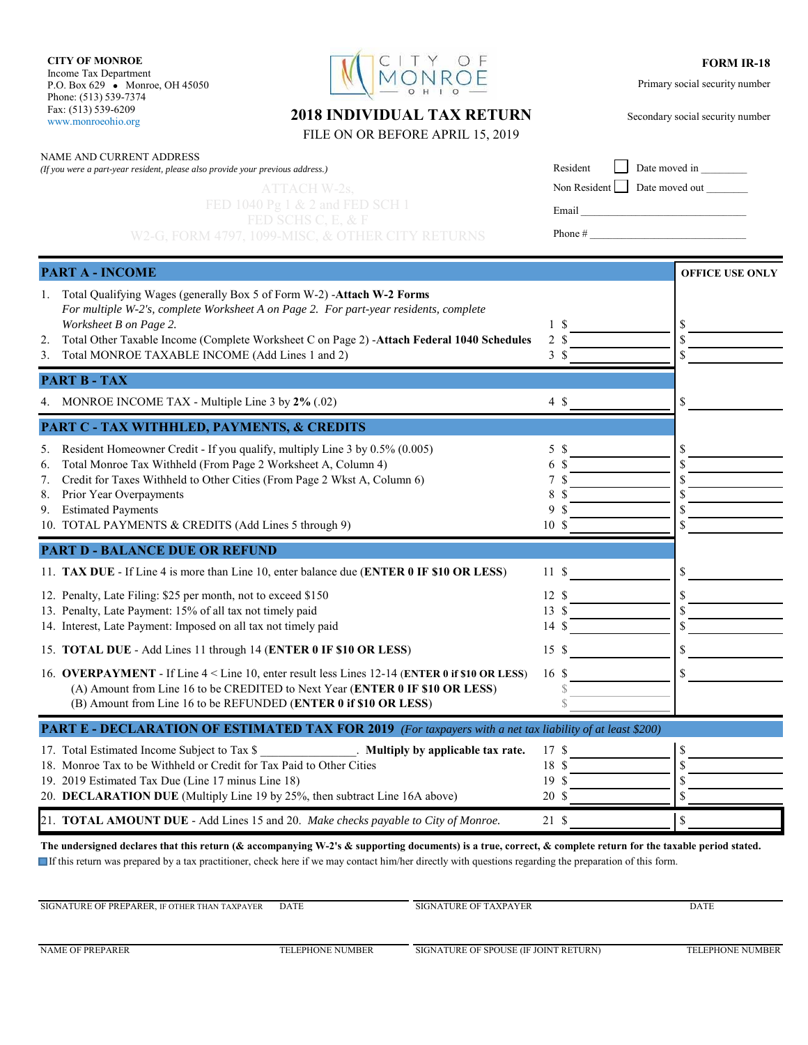**CITY OF MONROE** Income Tax Department P.O. Box 629 • Monroe, OH 45050 Phone: (513) 539-7374 Fax: (513) 539-6209 www.monroeohio.org

NAME AND CURRENT ADDRESS

*(If you were a part-year resident, please also provide your previous address.)*



## **FORM IR-18**

Primary social security number

Secondary social security number

| 2018 INDIVIDUAL TAX RETURN       |  |
|----------------------------------|--|
| FILE ON OR BEFORE APRIL 15, 2019 |  |

| Resident Date moved in      |  |
|-----------------------------|--|
| Non Resident Date moved out |  |
| Email                       |  |

Phone  $#_$ 

|    | <b>PART A - INCOME</b>                                                                                                                                             |                 |               | <b>OFFICE USE ONLY</b> |
|----|--------------------------------------------------------------------------------------------------------------------------------------------------------------------|-----------------|---------------|------------------------|
|    |                                                                                                                                                                    |                 |               |                        |
|    | 1. Total Qualifying Wages (generally Box 5 of Form W-2) -Attach W-2 Forms<br>For multiple W-2's, complete Worksheet A on Page 2. For part-year residents, complete |                 |               |                        |
|    | Worksheet B on Page 2.                                                                                                                                             |                 | 1 S           | \$                     |
| 2. | Total Other Taxable Income (Complete Worksheet C on Page 2) -Attach Federal 1040 Schedules                                                                         | $\overline{2}$  | <sup>\$</sup> | \$                     |
|    | 3. Total MONROE TAXABLE INCOME (Add Lines 1 and 2)                                                                                                                 |                 | 3S            | \$                     |
|    | <b>PART B - TAX</b>                                                                                                                                                |                 |               |                        |
|    | 4. MONROE INCOME TAX - Multiple Line 3 by 2% (.02)                                                                                                                 |                 | 4\$           | \$                     |
|    | PART C - TAX WITHHLED, PAYMENTS, & CREDITS                                                                                                                         |                 |               |                        |
|    | 5. Resident Homeowner Credit - If you qualify, multiply Line 3 by 0.5% (0.005)                                                                                     |                 | 5\$           | \$                     |
| 6. | Total Monroe Tax Withheld (From Page 2 Worksheet A, Column 4)                                                                                                      | 6               | <sup>\$</sup> |                        |
| 7. | Credit for Taxes Withheld to Other Cities (From Page 2 Wkst A, Column 6)                                                                                           | 7               | S             | S                      |
|    | 8. Prior Year Overpayments                                                                                                                                         | 8               | -8            | ς                      |
|    | 9. Estimated Payments<br>10. TOTAL PAYMENTS & CREDITS (Add Lines 5 through 9)                                                                                      | 9<br>10 S       | -8            |                        |
|    |                                                                                                                                                                    |                 |               |                        |
|    | <b>PART D - BALANCE DUE OR REFUND</b>                                                                                                                              |                 |               |                        |
|    | 11. TAX DUE - If Line 4 is more than Line 10, enter balance due (ENTER 0 IF \$10 OR LESS)                                                                          | 11S             |               | \$                     |
|    | 12. Penalty, Late Filing: \$25 per month, not to exceed \$150                                                                                                      | 12S             |               | \$                     |
|    | 13. Penalty, Late Payment: 15% of all tax not timely paid                                                                                                          | 13S             |               |                        |
|    | 14. Interest, Late Payment: Imposed on all tax not timely paid                                                                                                     | 14              | -S            |                        |
|    | 15. TOTAL DUE - Add Lines 11 through 14 (ENTER 0 IF \$10 OR LESS)                                                                                                  | 15S             |               | \$                     |
|    | 16. OVERPAYMENT - If Line 4 < Line 10, enter result less Lines 12-14 (ENTER 0 if \$10 OR LESS)                                                                     | 16 \$           |               | \$                     |
|    | (A) Amount from Line 16 to be CREDITED to Next Year (ENTER 0 IF \$10 OR LESS)                                                                                      |                 |               |                        |
|    | (B) Amount from Line 16 to be REFUNDED (ENTER 0 if \$10 OR LESS)                                                                                                   |                 |               |                        |
|    | <b>PART E - DECLARATION OF ESTIMATED TAX FOR 2019</b> (For taxpayers with a net tax liability of at least \$200)                                                   |                 |               |                        |
|    | . Multiply by applicable tax rate.<br>17. Total Estimated Income Subject to Tax \$                                                                                 | 17 \$           |               | \$                     |
|    | 18. Monroe Tax to be Withheld or Credit for Tax Paid to Other Cities                                                                                               | 18 \$           |               | \$                     |
|    | 19. 2019 Estimated Tax Due (Line 17 minus Line 18)                                                                                                                 | 19 S            |               | S                      |
|    | 20. DECLARATION DUE (Multiply Line 19 by 25%, then subtract Line 16A above)                                                                                        | 20 <sup>°</sup> |               | \$                     |
|    | 21. TOTAL AMOUNT DUE - Add Lines 15 and 20. Make checks payable to City of Monroe.                                                                                 | 21S             |               | $\mathbf S$            |

**The undersigned declares that this return (& accompanying W-2's & supporting documents) is a true, correct, & complete return for the taxable period stated.** If this return was prepared by a tax practitioner, check here if we may contact him/her directly with questions regarding the preparation of this form.

SIGNATURE OF PREPARER, IF OTHER THAN TAXPAYER DATE SIGNATURE OF TAXPAYER DATE

NAME OF PREPARER TELEPHONE NUMBER TELEPHONE NUMBER SIGNATURE OF SPOUSE (IF JOINT RETURN) TELEPHONE NUMBER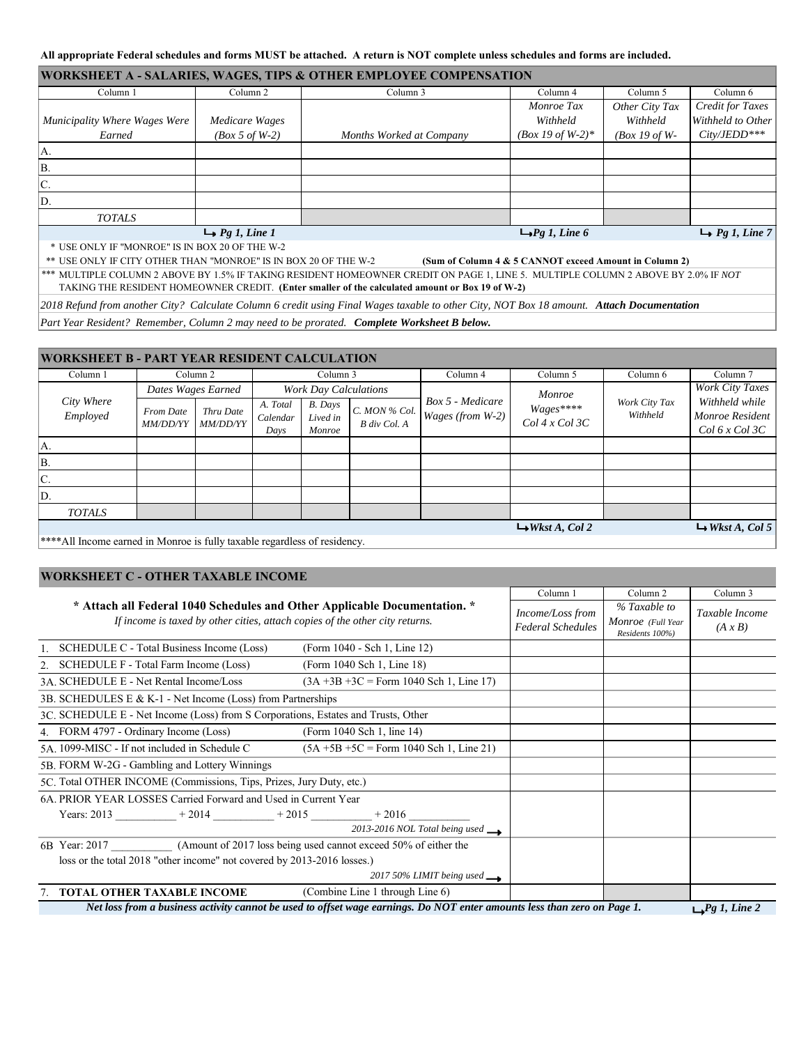## **All appropriate Federal schedules and forms MUST be attached. A return is NOT complete unless schedules and forms are included.**

| <b>WORKSHEET A - SALARIES, WAGES, TIPS &amp; OTHER EMPLOYEE COMPENSATION</b> |                            |                          |                     |                  |                            |  |  |
|------------------------------------------------------------------------------|----------------------------|--------------------------|---------------------|------------------|----------------------------|--|--|
| Column 1                                                                     | Column <sub>2</sub>        | Column 3                 | Column 4            | Column 5         | Column 6                   |  |  |
|                                                                              |                            |                          | Monroe Tax          | Other City Tax   | Credit for Taxes           |  |  |
| Municipality Where Wages Were                                                | Medicare Wages             |                          | Withheld            | Withheld         | Withheld to Other          |  |  |
| Earned                                                                       | $(Box 5 of W-2)$           | Months Worked at Company | $(Box 19 of W-2)*$  | $(Box 19 of W-)$ | $City/JEDD***$             |  |  |
| IA.                                                                          |                            |                          |                     |                  |                            |  |  |
| ΙB.                                                                          |                            |                          |                     |                  |                            |  |  |
| IC.                                                                          |                            |                          |                     |                  |                            |  |  |
| ID.                                                                          |                            |                          |                     |                  |                            |  |  |
| <b>TOTALS</b>                                                                |                            |                          |                     |                  |                            |  |  |
|                                                                              | $\rightarrow$ Pg 1, Line 1 |                          | $\Box$ Pg 1, Line 6 |                  | $\rightarrow$ Pg 1, Line 7 |  |  |

\* USE ONLY IF "MONROE" IS IN BOX 20 OF THE W-2

\*\* USE ONLY IF CITY OTHER THAN "MONROE" IS IN BOX 20 OF THE W-2 **(Sum of Column 4 & 5 CANNOT exceed Amount in Column 2)**

\*\*\* MULTIPLE COLUMN 2 ABOVE BY 1.5% IF TAKING RESIDENT HOMEOWNER CREDIT ON PAGE 1, LINE 5. MULTIPLE COLUMN 2 ABOVE BY 2.0% IF *NOT*  TAKING THE RESIDENT HOMEOWNER CREDIT. **(Enter smaller of the calculated amount or Box 19 of W-2)**

*2018 Refund from another City? Calculate Column 6 credit using Final Wages taxable to other City, NOT Box 18 amount. Attach Documentation*

*Part Year Resident? Remember, Column 2 may need to be prorated. Complete Worksheet B below.*

| <b>WORKSHEET B - PART YEAR RESIDENT CALCULATION</b> |                              |                              |                              |                                      |                               |                  |                             |                            |                             |                                                    |
|-----------------------------------------------------|------------------------------|------------------------------|------------------------------|--------------------------------------|-------------------------------|------------------|-----------------------------|----------------------------|-----------------------------|----------------------------------------------------|
| Column 1                                            |                              | Column 2                     |                              | Column 3                             |                               | Column 4         | Column 5                    | Column 6                   | Column 7                    |                                                    |
|                                                     | Dates Wages Earned           |                              | <b>Work Day Calculations</b> |                                      |                               | Monroe           |                             | Work City Taxes            |                             |                                                    |
| City Where<br>Employed                              | From Date<br><i>MM/DD/YY</i> | Thru Date<br><b>MM/DD/YY</b> | A. Total<br>Calendar<br>Days | <b>B.</b> Days<br>Lived in<br>Monroe | C. MON % Col.<br>B div Col. A | Box 5 - Medicare | Wages (from W-2)            | Wages****<br>Col 4x Col 3C | Work City Tax<br>Withheld   | Withheld while<br>Monroe Resident<br>Col 6x Col 3C |
| IA.                                                 |                              |                              |                              |                                      |                               |                  |                             |                            |                             |                                                    |
| İΒ.                                                 |                              |                              |                              |                                      |                               |                  |                             |                            |                             |                                                    |
| IC.                                                 |                              |                              |                              |                                      |                               |                  |                             |                            |                             |                                                    |
| ID.                                                 |                              |                              |                              |                                      |                               |                  |                             |                            |                             |                                                    |
| <b>TOTALS</b>                                       |                              |                              |                              |                                      |                               |                  |                             |                            |                             |                                                    |
| .                                                   | .                            | .<br>.                       |                              |                                      |                               |                  | $\rightarrow$ Wkst A, Col 2 |                            | $\rightarrow$ Wkst A, Col 5 |                                                    |

\*\*\*\*All Income earned in Monroe is fully taxable regardless of residency.

## **WORKSHEET C - OTHER TAXABLE INCOME**

|                                                                                                                                                           | Column 1                                                                                                                 | Column 2                                     | Column 3                                             |                                  |
|-----------------------------------------------------------------------------------------------------------------------------------------------------------|--------------------------------------------------------------------------------------------------------------------------|----------------------------------------------|------------------------------------------------------|----------------------------------|
| * Attach all Federal 1040 Schedules and Other Applicable Documentation. *<br>If income is taxed by other cities, attach copies of the other city returns. |                                                                                                                          | Income/Loss from<br><b>Federal Schedules</b> | % Taxable to<br>Monroe (Full Year<br>Residents 100%) | Taxable Income<br>$(A \times B)$ |
| SCHEDULE C - Total Business Income (Loss)                                                                                                                 | (Form 1040 - Sch 1, Line 12)                                                                                             |                                              |                                                      |                                  |
| 2. SCHEDULE F - Total Farm Income (Loss)                                                                                                                  | (Form 1040 Sch 1, Line 18)                                                                                               |                                              |                                                      |                                  |
| 3A. SCHEDULE E - Net Rental Income/Loss                                                                                                                   | $(3A + 3B + 3C)$ = Form 1040 Sch 1, Line 17)                                                                             |                                              |                                                      |                                  |
| 3B. SCHEDULES E & K-1 - Net Income (Loss) from Partnerships                                                                                               |                                                                                                                          |                                              |                                                      |                                  |
| 3C. SCHEDULE E - Net Income (Loss) from S Corporations, Estates and Trusts, Other                                                                         |                                                                                                                          |                                              |                                                      |                                  |
| 4. FORM 4797 - Ordinary Income (Loss)                                                                                                                     | (Form 1040 Sch 1, line 14)                                                                                               |                                              |                                                      |                                  |
| 5A, 1099-MISC - If not included in Schedule C                                                                                                             | $(5A + 5B + 5C)$ = Form 1040 Sch 1, Line 21)                                                                             |                                              |                                                      |                                  |
| 5B. FORM W-2G - Gambling and Lottery Winnings                                                                                                             |                                                                                                                          |                                              |                                                      |                                  |
| 5C. Total OTHER INCOME (Commissions, Tips, Prizes, Jury Duty, etc.)                                                                                       |                                                                                                                          |                                              |                                                      |                                  |
| 6A. PRIOR YEAR LOSSES Carried Forward and Used in Current Year                                                                                            |                                                                                                                          |                                              |                                                      |                                  |
| Years: 2013 $+2014$ $+2015$ $+2016$ $+2016$                                                                                                               |                                                                                                                          |                                              |                                                      |                                  |
|                                                                                                                                                           | 2013-2016 NOL Total being used $\longrightarrow$                                                                         |                                              |                                                      |                                  |
| 6B Year: 2017 (Amount of 2017 loss being used cannot exceed 50% of either the                                                                             |                                                                                                                          |                                              |                                                      |                                  |
| loss or the total 2018 "other income" not covered by 2013-2016 losses.)                                                                                   |                                                                                                                          |                                              |                                                      |                                  |
|                                                                                                                                                           | 2017 50% LIMIT being used $\longrightarrow$                                                                              |                                              |                                                      |                                  |
| <b>TOTAL OTHER TAXABLE INCOME</b>                                                                                                                         | (Combine Line 1 through Line 6)                                                                                          |                                              |                                                      |                                  |
|                                                                                                                                                           | Net loss from a business activity cannot be used to offset wage earnings. Do NOT enter amounts less than zero on Page 1. |                                              |                                                      | $\Box$ $Pg$ 1, Line 2            |